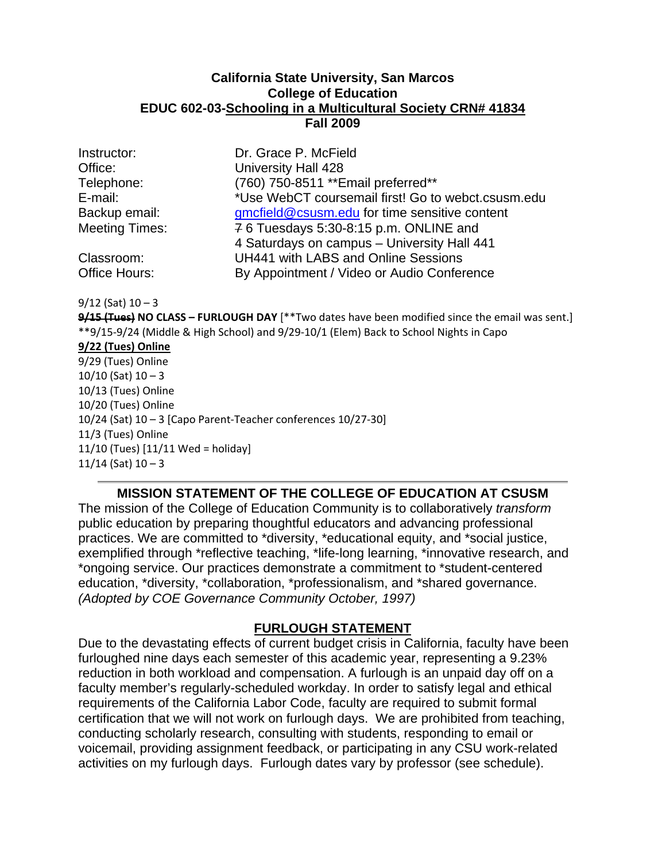#### **California State University, San Marcos College of Education EDUC 602-03-Schooling in a Multicultural Society CRN# 41834 Fall 2009**

| Instructor:           |
|-----------------------|
| Office:               |
| Telephone:            |
| E-mail:               |
| Backup email:         |
| <b>Meeting Times:</b> |
|                       |

Dr. Grace P. McField **University Hall 428** (760) 750-8511 \*\*Email preferred\*\* \*Use WebCT coursemail first! Go to webct.csusm.edu amcfield@csusm.edu for time sensitive content  $76$  Tuesdays 5:30-8:15 p.m. ONLINE and 4 Saturdays on campus – University Hall 441 Classroom: UH441 with LABS and Online Sessions Office Hours: By Appointment / Video or Audio Conference

9/12 (Sat) 10 – 3

 **9/15 (Tues) NO CLASS – FURLOUGH DAY** [\*\*Two dates have been modified since the email was sent.] \*\*9/15‐9/24 (Middle & High School) and 9/29‐10/1 (Elem) Back to School Nights in Capo

 **9/22 (Tues) Online** 9/29 (Tues) Online 10/10 (Sat) 10 – 3 10/13 (Tues) Online 10/20 (Tues) Online 10/24 (Sat) 10 – 3 [Capo Parent‐Teacher conferences 10/27‐30] 11/3 (Tues) Online 11/10 (Tues) [11/11 Wed = holiday] 11/14 (Sat) 10 – 3

#### **MISSION STATEMENT OF THE COLLEGE OF EDUCATION AT CSUSM**

The mission of the College of Education Community is to collaboratively *transform*  public education by preparing thoughtful educators and advancing professional practices. We are committed to \*diversity, \*educational equity, and \*social justice, exemplified through \*reflective teaching, \*life-long learning, \*innovative research, and \*ongoing service. Our practices demonstrate a commitment to \*student-centered education, \*diversity, \*collaboration, \*professionalism, and \*shared governance. *(Adopted by COE Governance Community October, 1997)* 

#### **FURLOUGH STATEMENT**

Due to the devastating effects of current budget crisis in California, faculty have been furloughed nine days each semester of this academic year, representing a 9.23% reduction in both workload and compensation. A furlough is an unpaid day off on a faculty member's regularly-scheduled workday. In order to satisfy legal and ethical requirements of the California Labor Code, faculty are required to submit formal certification that we will not work on furlough days. We are prohibited from teaching, conducting scholarly research, consulting with students, responding to email or voicemail, providing assignment feedback, or participating in any CSU work-related activities on my furlough days. Furlough dates vary by professor (see schedule).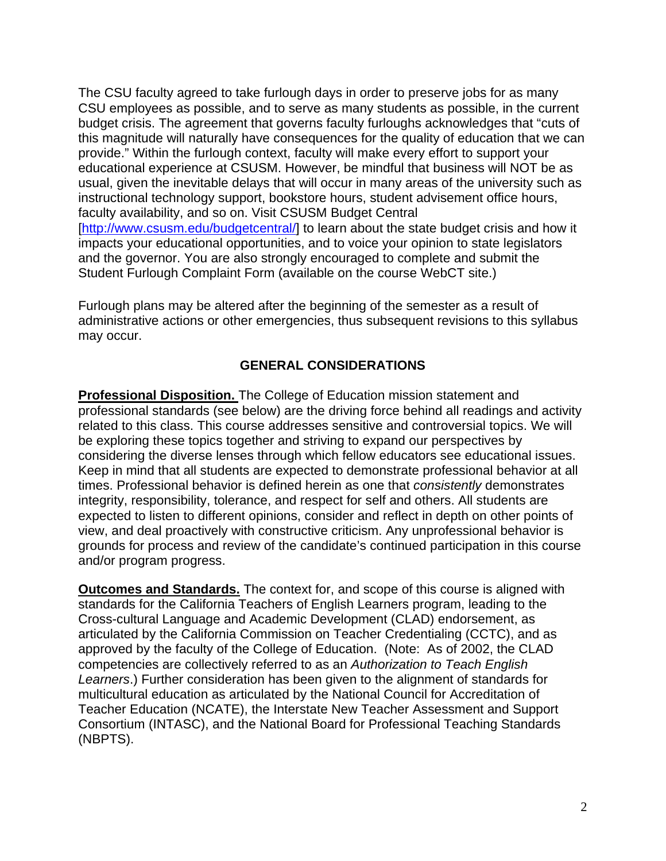The CSU faculty agreed to take furlough days in order to preserve jobs for as many CSU employees as possible, and to serve as many students as possible, in the current budget crisis. The agreement that governs faculty furloughs acknowledges that "cuts of this magnitude will naturally have consequences for the quality of education that we can provide." Within the furlough context, faculty will make every effort to support your educational experience at CSUSM. However, be mindful that business will NOT be as usual, given the inevitable delays that will occur in many areas of the university such as instructional technology support, bookstore hours, student advisement office hours, faculty availability, and so on. Visit CSUSM Budget Central [http://www.csusm.edu/budgetcentral/] to learn about the state budget crisis and how it impacts your educational opportunities, and to voice your opinion to state legislators and the governor. You are also strongly encouraged to complete and submit the Student Furlough Complaint Form (available on the course WebCT site.)

Furlough plans may be altered after the beginning of the semester as a result of administrative actions or other emergencies, thus subsequent revisions to this syllabus may occur.

#### **GENERAL CONSIDERATIONS**

**Professional Disposition.** The College of Education mission statement and professional standards (see below) are the driving force behind all readings and activity related to this class. This course addresses sensitive and controversial topics. We will be exploring these topics together and striving to expand our perspectives by considering the diverse lenses through which fellow educators see educational issues. Keep in mind that all students are expected to demonstrate professional behavior at all times. Professional behavior is defined herein as one that *consistently* demonstrates integrity, responsibility, tolerance, and respect for self and others. All students are expected to listen to different opinions, consider and reflect in depth on other points of view, and deal proactively with constructive criticism. Any unprofessional behavior is grounds for process and review of the candidate's continued participation in this course and/or program progress.

**Outcomes and Standards.** The context for, and scope of this course is aligned with standards for the California Teachers of English Learners program, leading to the Cross-cultural Language and Academic Development (CLAD) endorsement, as articulated by the California Commission on Teacher Credentialing (CCTC), and as approved by the faculty of the College of Education. (Note: As of 2002, the CLAD competencies are collectively referred to as an *Authorization to Teach English Learners*.) Further consideration has been given to the alignment of standards for multicultural education as articulated by the National Council for Accreditation of Teacher Education (NCATE), the Interstate New Teacher Assessment and Support Consortium (INTASC), and the National Board for Professional Teaching Standards (NBPTS).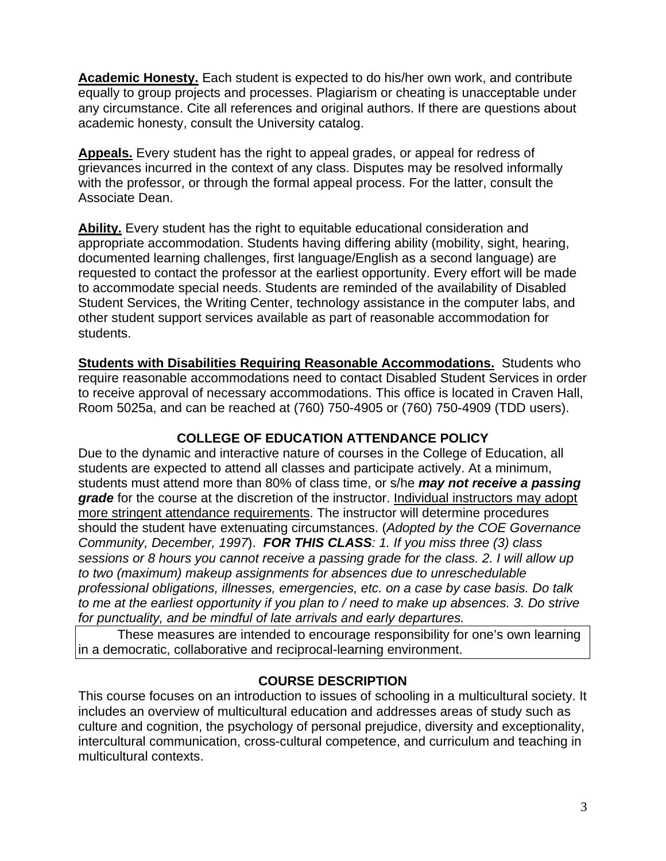**Academic Honesty.** Each student is expected to do his/her own work, and contribute equally to group projects and processes. Plagiarism or cheating is unacceptable under any circumstance. Cite all references and original authors. If there are questions about academic honesty, consult the University catalog.

**Appeals.** Every student has the right to appeal grades, or appeal for redress of grievances incurred in the context of any class. Disputes may be resolved informally with the professor, or through the formal appeal process. For the latter, consult the Associate Dean.

**Ability.** Every student has the right to equitable educational consideration and appropriate accommodation. Students having differing ability (mobility, sight, hearing, documented learning challenges, first language/English as a second language) are requested to contact the professor at the earliest opportunity. Every effort will be made to accommodate special needs. Students are reminded of the availability of Disabled Student Services, the Writing Center, technology assistance in the computer labs, and other student support services available as part of reasonable accommodation for students.

**Students with Disabilities Requiring Reasonable Accommodations.** Students who require reasonable accommodations need to contact Disabled Student Services in order to receive approval of necessary accommodations. This office is located in Craven Hall, Room 5025a, and can be reached at (760) 750-4905 or (760) 750-4909 (TDD users).

# **COLLEGE OF EDUCATION ATTENDANCE POLICY**

Due to the dynamic and interactive nature of courses in the College of Education, all students are expected to attend all classes and participate actively. At a minimum, students must attend more than 80% of class time, or s/he *may not receive a passing grade* for the course at the discretion of the instructor. Individual instructors may adopt more stringent attendance requirements. The instructor will determine procedures should the student have extenuating circumstances. (*Adopted by the COE Governance Community, December, 1997*). *FOR THIS CLASS: 1. If you miss three (3) class sessions or 8 hours you cannot receive a passing grade for the class. 2. I will allow up to two (maximum) makeup assignments for absences due to unreschedulable professional obligations, illnesses, emergencies, etc. on a case by case basis. Do talk to me at the earliest opportunity if you plan to / need to make up absences. 3. Do strive for punctuality, and be mindful of late arrivals and early departures.* 

These measures are intended to encourage responsibility for one's own learning in a democratic, collaborative and reciprocal-learning environment.

### **COURSE DESCRIPTION**

This course focuses on an introduction to issues of schooling in a multicultural society. It includes an overview of multicultural education and addresses areas of study such as culture and cognition, the psychology of personal prejudice, diversity and exceptionality, intercultural communication, cross-cultural competence, and curriculum and teaching in multicultural contexts.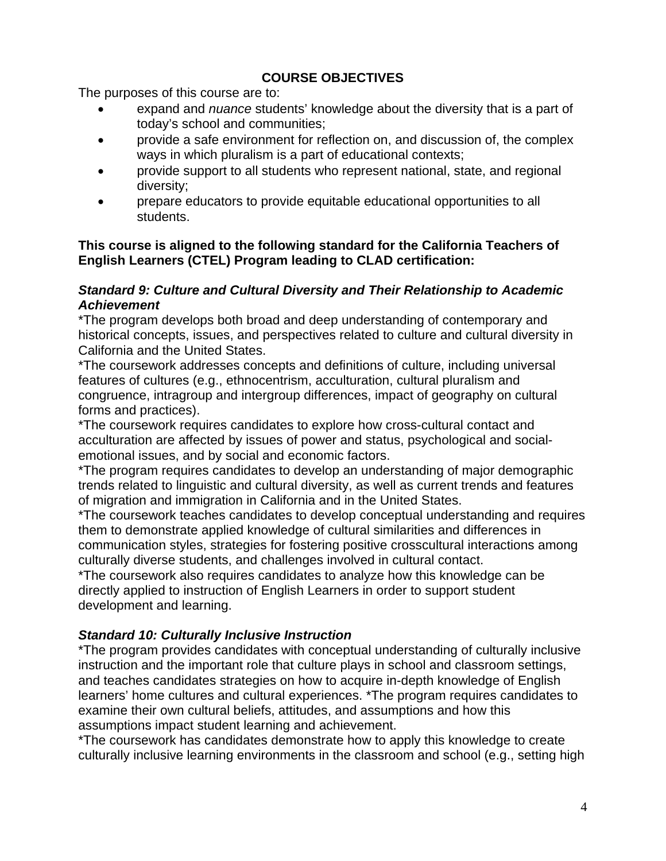# **COURSE OBJECTIVES**

The purposes of this course are to:

- expand and *nuance* students' knowledge about the diversity that is a part of today's school and communities;
- provide a safe environment for reflection on, and discussion of, the complex ways in which pluralism is a part of educational contexts;
- provide support to all students who represent national, state, and regional diversity;
- prepare educators to provide equitable educational opportunities to all students.

### **This course is aligned to the following standard for the California Teachers of English Learners (CTEL) Program leading to CLAD certification:**

### *Standard 9: Culture and Cultural Diversity and Their Relationship to Academic Achievement*

\*The program develops both broad and deep understanding of contemporary and historical concepts, issues, and perspectives related to culture and cultural diversity in California and the United States.

\*The coursework addresses concepts and definitions of culture, including universal features of cultures (e.g., ethnocentrism, acculturation, cultural pluralism and congruence, intragroup and intergroup differences, impact of geography on cultural forms and practices).

\*The coursework requires candidates to explore how cross-cultural contact and acculturation are affected by issues of power and status, psychological and socialemotional issues, and by social and economic factors.

\*The program requires candidates to develop an understanding of major demographic trends related to linguistic and cultural diversity, as well as current trends and features of migration and immigration in California and in the United States.

\*The coursework teaches candidates to develop conceptual understanding and requires them to demonstrate applied knowledge of cultural similarities and differences in communication styles, strategies for fostering positive crosscultural interactions among culturally diverse students, and challenges involved in cultural contact.

\*The coursework also requires candidates to analyze how this knowledge can be directly applied to instruction of English Learners in order to support student development and learning.

# *Standard 10: Culturally Inclusive Instruction*

\*The program provides candidates with conceptual understanding of culturally inclusive instruction and the important role that culture plays in school and classroom settings, and teaches candidates strategies on how to acquire in-depth knowledge of English learners' home cultures and cultural experiences. \*The program requires candidates to examine their own cultural beliefs, attitudes, and assumptions and how this assumptions impact student learning and achievement.

\*The coursework has candidates demonstrate how to apply this knowledge to create culturally inclusive learning environments in the classroom and school (e.g., setting high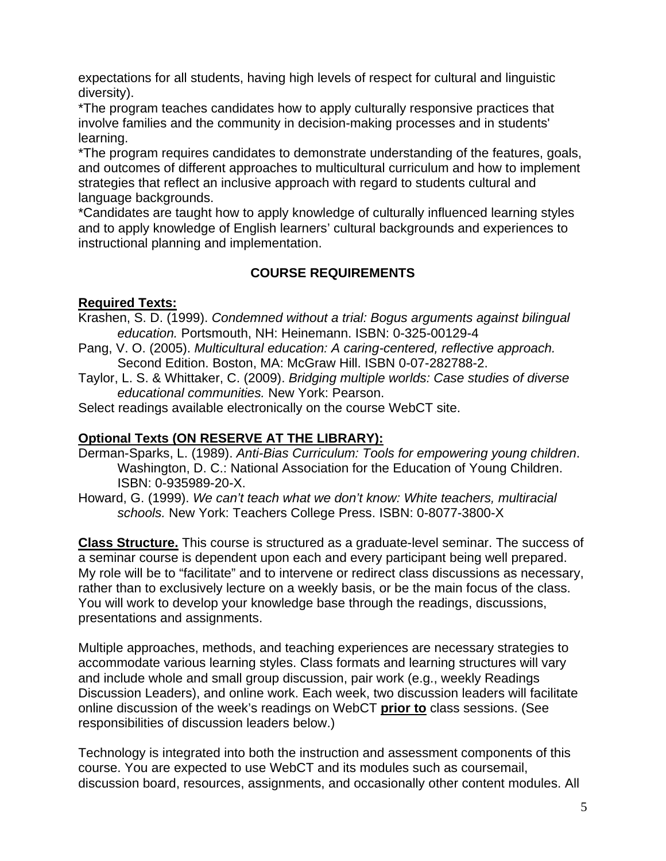expectations for all students, having high levels of respect for cultural and linguistic diversity).

\*The program teaches candidates how to apply culturally responsive practices that involve families and the community in decision-making processes and in students' learning.

\*The program requires candidates to demonstrate understanding of the features, goals, and outcomes of different approaches to multicultural curriculum and how to implement strategies that reflect an inclusive approach with regard to students cultural and language backgrounds.

\*Candidates are taught how to apply knowledge of culturally influenced learning styles and to apply knowledge of English learners' cultural backgrounds and experiences to instructional planning and implementation.

# **COURSE REQUIREMENTS**

# **Required Texts:**

- Krashen, S. D. (1999). *Condemned without a trial: Bogus arguments against bilingual education.* Portsmouth, NH: Heinemann. ISBN: 0-325-00129-4
- Pang, V. O. (2005). *Multicultural education: A caring-centered, reflective approach.*  Second Edition. Boston, MA: McGraw Hill. ISBN 0-07-282788-2.
- Taylor, L. S. & Whittaker, C. (2009). *Bridging multiple worlds: Case studies of diverse educational communities.* New York: Pearson.

Select readings available electronically on the course WebCT site.

## **Optional Texts (ON RESERVE AT THE LIBRARY):**

- ISBN: 0-935989-20-X. Derman-Sparks, L. (1989). *Anti-Bias Curriculum: Tools for empowering young children*. Washington, D. C.: National Association for the Education of Young Children.
- Howard, G. (1999). *We can't teach what we don't know: White teachers, multiracial schools.* New York: Teachers College Press. ISBN: 0-8077-3800-X

**Class Structure.** This course is structured as a graduate-level seminar. The success of a seminar course is dependent upon each and every participant being well prepared. My role will be to "facilitate" and to intervene or redirect class discussions as necessary, rather than to exclusively lecture on a weekly basis, or be the main focus of the class. You will work to develop your knowledge base through the readings, discussions, presentations and assignments.

Multiple approaches, methods, and teaching experiences are necessary strategies to accommodate various learning styles. Class formats and learning structures will vary and include whole and small group discussion, pair work (e.g., weekly Readings Discussion Leaders), and online work. Each week, two discussion leaders will facilitate online discussion of the week's readings on WebCT **prior to** class sessions. (See responsibilities of discussion leaders below.)

Technology is integrated into both the instruction and assessment components of this course. You are expected to use WebCT and its modules such as coursemail, discussion board, resources, assignments, and occasionally other content modules. All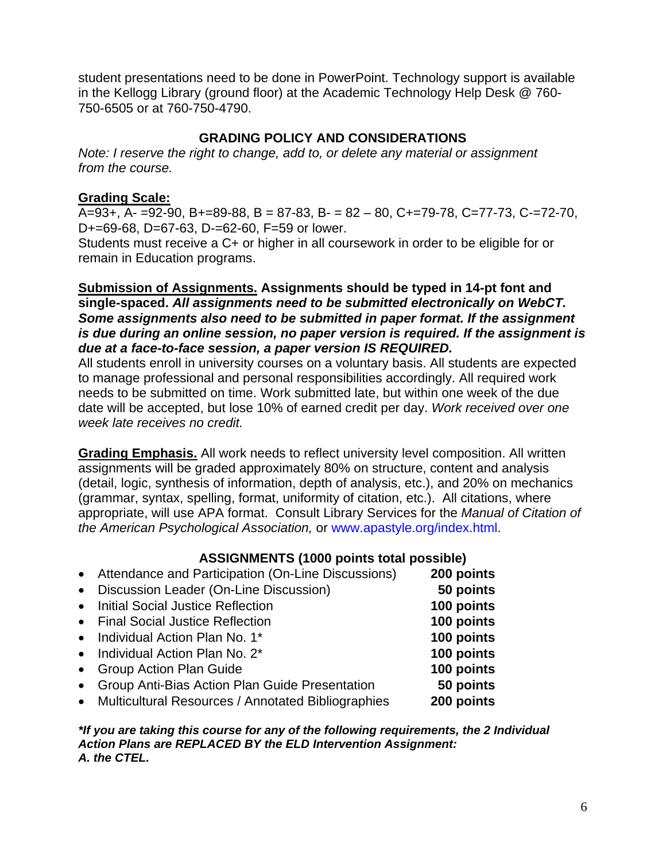student presentations need to be done in PowerPoint. Technology support is available in the Kellogg Library (ground floor) at the Academic Technology Help Desk @ 760- 750-6505 or at 760-750-4790.

### **GRADING POLICY AND CONSIDERATIONS**

*Note: I reserve the right to change, add to, or delete any material or assignment from the course.* 

### **Grading Scale:**

A=93+, A- =92-90, B+=89-88, B = 87-83, B- = 82 – 80, C+=79-78, C=77-73, C-=72-70, D+=69-68, D=67-63, D-=62-60, F=59 or lower.

Students must receive a C+ or higher in all coursework in order to be eligible for or remain in Education programs.

#### **Submission of Assignments. Assignments should be typed in 14-pt font and single-spaced.** *All assignments need to be submitted electronically on WebCT. Some assignments also need to be submitted in paper format. If the assignment is due during an online session, no paper version is required. If the assignment is due at a face-to-face session, a paper version IS REQUIRED.*

All students enroll in university courses on a voluntary basis. All students are expected to manage professional and personal responsibilities accordingly. All required work needs to be submitted on time. Work submitted late, but within one week of the due date will be accepted, but lose 10% of earned credit per day. *Work received over one week late receives no credit.* 

**Grading Emphasis.** All work needs to reflect university level composition. All written assignments will be graded approximately 80% on structure, content and analysis (detail, logic, synthesis of information, depth of analysis, etc.), and 20% on mechanics (grammar, syntax, spelling, format, uniformity of citation, etc.). All citations, where appropriate, will use APA format. Consult Library Services for the *Manual of Citation of the American Psychological Association,* or www.apastyle.org/index.html.

### **ASSIGNMENTS (1000 points total possible)**

- Attendance and Participation (On-Line Discussions) **200 points**
- Discussion Leader (On-Line Discussion) **50 points**  • Initial Social Justice Reflection **100 points**  • Final Social Justice Reflection **100 points**  • Individual Action Plan No. 1\* **100 points**  • Individual Action Plan No. 2\* **100 points**  • Group Action Plan Guide **100 points**  • Group Anti-Bias Action Plan Guide Presentation **50 points**  • Multicultural Resources / Annotated Bibliographies **200 points**

*\*If you are taking this course for any of the following requirements, the 2 Individual Action Plans are REPLACED BY the ELD Intervention Assignment: A. the CTEL.*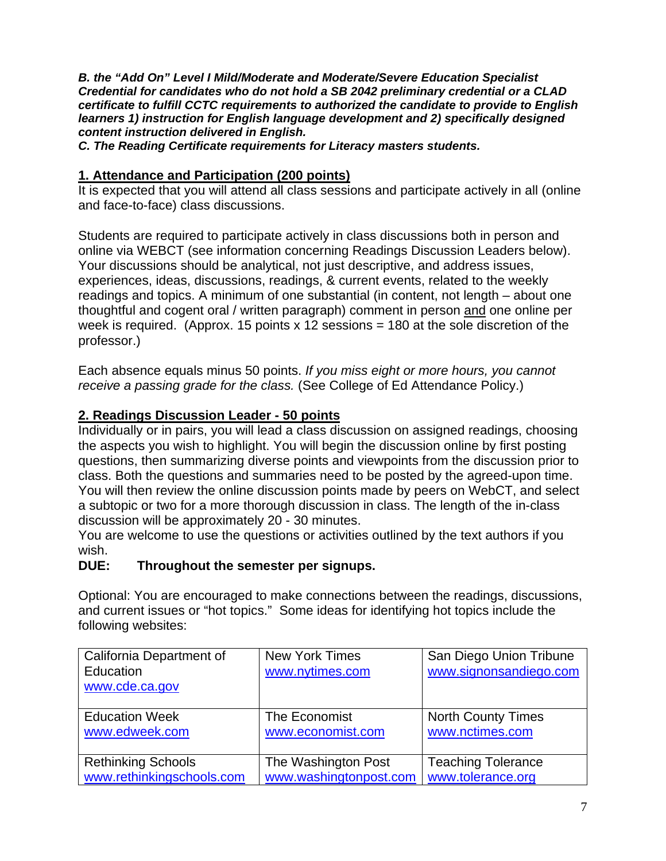*B. the "Add On" Level I Mild/Moderate and Moderate/Severe Education Specialist Credential for candidates who do not hold a SB 2042 preliminary credential or a CLAD certificate to fulfill CCTC requirements to authorized the candidate to provide to English learners 1) instruction for English language development and 2) specifically designed content instruction delivered in English.* 

*C. The Reading Certificate requirements for Literacy masters students.* 

## **1. Attendance and Participation (200 points)**

It is expected that you will attend all class sessions and participate actively in all (online and face-to-face) class discussions.

Students are required to participate actively in class discussions both in person and online via WEBCT (see information concerning Readings Discussion Leaders below). Your discussions should be analytical, not just descriptive, and address issues, experiences, ideas, discussions, readings, & current events, related to the weekly readings and topics. A minimum of one substantial (in content, not length – about one thoughtful and cogent oral / written paragraph) comment in person and one online per week is required. (Approx. 15 points  $x$  12 sessions = 180 at the sole discretion of the professor.)

Each absence equals minus 50 points. *If you miss eight or more hours, you cannot receive a passing grade for the class.* (See College of Ed Attendance Policy.)

# **2. Readings Discussion Leader - 50 points**

Individually or in pairs, you will lead a class discussion on assigned readings, choosing the aspects you wish to highlight. You will begin the discussion online by first posting questions, then summarizing diverse points and viewpoints from the discussion prior to class. Both the questions and summaries need to be posted by the agreed-upon time. You will then review the online discussion points made by peers on WebCT, and select a subtopic or two for a more thorough discussion in class. The length of the in-class discussion will be approximately 20 - 30 minutes.

You are welcome to use the questions or activities outlined by the text authors if you wish.

# **DUE: Throughout the semester per signups.**

Optional: You are encouraged to make connections between the readings, discussions, and current issues or "hot topics." Some ideas for identifying hot topics include the following websites:

| California Department of  | <b>New York Times</b>  | San Diego Union Tribune   |
|---------------------------|------------------------|---------------------------|
| Education                 | www.nytimes.com        | www.signonsandiego.com    |
| www.cde.ca.gov            |                        |                           |
|                           |                        |                           |
| <b>Education Week</b>     | The Economist          | <b>North County Times</b> |
| www.edweek.com            | www.economist.com      | www.nctimes.com           |
|                           |                        |                           |
| <b>Rethinking Schools</b> | The Washington Post    | <b>Teaching Tolerance</b> |
| www.rethinkingschools.com | www.washingtonpost.com | www.tolerance.org         |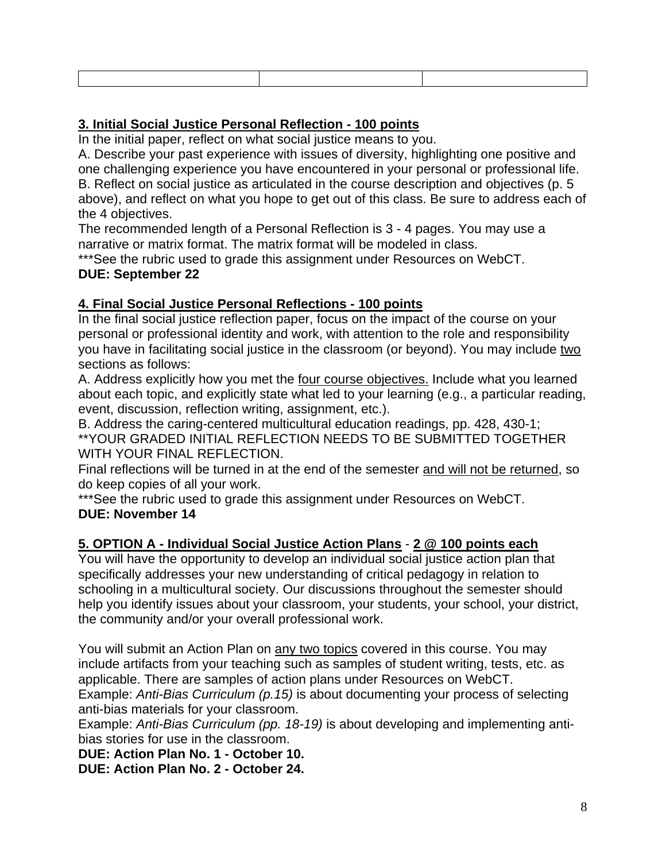### **3. Initial Social Justice Personal Reflection - 100 points**

In the initial paper, reflect on what social justice means to you.

A. Describe your past experience with issues of diversity, highlighting one positive and one challenging experience you have encountered in your personal or professional life. B. Reflect on social justice as articulated in the course description and objectives (p. 5 above), and reflect on what you hope to get out of this class. Be sure to address each of the 4 objectives.

The recommended length of a Personal Reflection is 3 - 4 pages. You may use a narrative or matrix format. The matrix format will be modeled in class.

\*\*\*See the rubric used to grade this assignment under Resources on WebCT.

#### **DUE: September 22**

### **4. Final Social Justice Personal Reflections - 100 points**

In the final social justice reflection paper, focus on the impact of the course on your personal or professional identity and work, with attention to the role and responsibility you have in facilitating social justice in the classroom (or beyond). You may include two sections as follows:

A. Address explicitly how you met the four course objectives. Include what you learned about each topic, and explicitly state what led to your learning (e.g., a particular reading, event, discussion, reflection writing, assignment, etc.).

B. Address the caring-centered multicultural education readings, pp. 428, 430-1; \*\*YOUR GRADED INITIAL REFLECTION NEEDS TO BE SUBMITTED TOGETHER WITH YOUR FINAL REFLECTION.

Final reflections will be turned in at the end of the semester and will not be returned, so do keep copies of all your work.

\*\*\*See the rubric used to grade this assignment under Resources on WebCT. **DUE: November 14** 

# **5. OPTION A - Individual Social Justice Action Plans** - **2 @ 100 points each**

You will have the opportunity to develop an individual social justice action plan that specifically addresses your new understanding of critical pedagogy in relation to schooling in a multicultural society. Our discussions throughout the semester should help you identify issues about your classroom, your students, your school, your district, the community and/or your overall professional work.

You will submit an Action Plan on any two topics covered in this course. You may include artifacts from your teaching such as samples of student writing, tests, etc. as applicable. There are samples of action plans under Resources on WebCT. Example: *Anti-Bias Curriculum (p.15)* is about documenting your process of selecting anti-bias materials for your classroom.

Example: *Anti-Bias Curriculum (pp. 18-19)* is about developing and implementing antibias stories for use in the classroom.

**DUE: Action Plan No. 1 - October 10.** 

**DUE: Action Plan No. 2 - October 24.**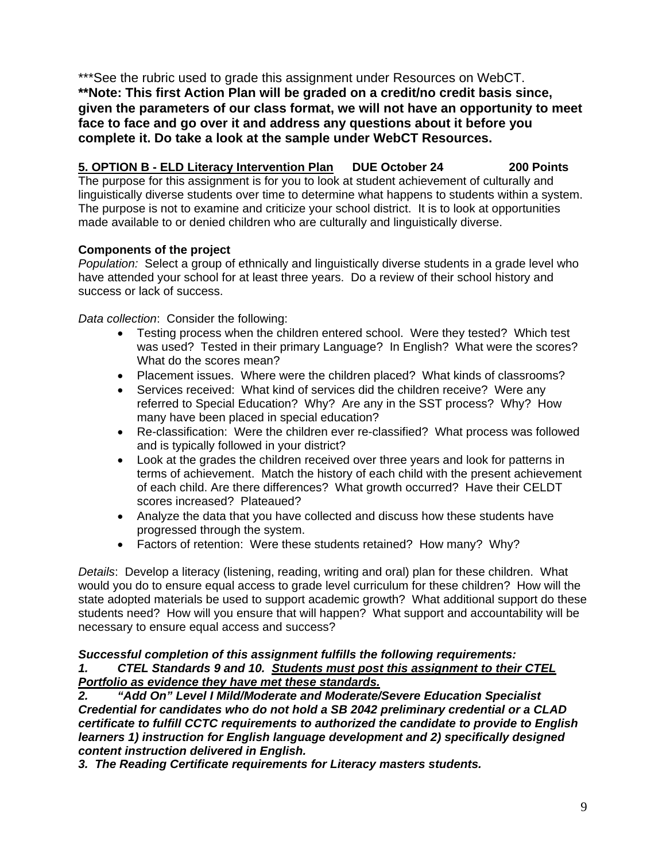\*\*\*See the rubric used to grade this assignment under Resources on WebCT. **\*\*Note: This first Action Plan will be graded on a credit/no credit basis since, given the parameters of our class format, we will not have an opportunity to meet face to face and go over it and address any questions about it before you complete it. Do take a look at the sample under WebCT Resources.** 

### **5. OPTION B - ELD Literacy Intervention Plan DUE October 24 200 Points**

The purpose for this assignment is for you to look at student achievement of culturally and linguistically diverse students over time to determine what happens to students within a system. The purpose is not to examine and criticize your school district. It is to look at opportunities made available to or denied children who are culturally and linguistically diverse.

#### **Components of the project**

*Population:* Select a group of ethnically and linguistically diverse students in a grade level who have attended your school for at least three years. Do a review of their school history and success or lack of success.

*Data collection*: Consider the following:

- Testing process when the children entered school. Were they tested? Which test was used? Tested in their primary Language? In English? What were the scores? What do the scores mean?
- Placement issues. Where were the children placed? What kinds of classrooms?
- Services received: What kind of services did the children receive? Were any referred to Special Education? Why? Are any in the SST process? Why? How many have been placed in special education?
- Re-classification: Were the children ever re-classified? What process was followed and is typically followed in your district?
- Look at the grades the children received over three years and look for patterns in terms of achievement. Match the history of each child with the present achievement of each child. Are there differences? What growth occurred? Have their CELDT scores increased? Plateaued?
- Analyze the data that you have collected and discuss how these students have progressed through the system.
- Factors of retention: Were these students retained? How many? Why?

*Details*: Develop a literacy (listening, reading, writing and oral) plan for these children. What would you do to ensure equal access to grade level curriculum for these children? How will the state adopted materials be used to support academic growth? What additional support do these students need? How will you ensure that will happen? What support and accountability will be necessary to ensure equal access and success?

# *Successful completion of this assignment fulfills the following requirements: 1. CTEL Standards 9 and 10. Students must post this assignment to their CTEL Portfolio as evidence they have met these standards.*

*2. "Add On" Level I Mild/Moderate and Moderate/Severe Education Specialist Credential for candidates who do not hold a SB 2042 preliminary credential or a CLAD certificate to fulfill CCTC requirements to authorized the candidate to provide to English learners 1) instruction for English language development and 2) specifically designed content instruction delivered in English.* 

*3. The Reading Certificate requirements for Literacy masters students.*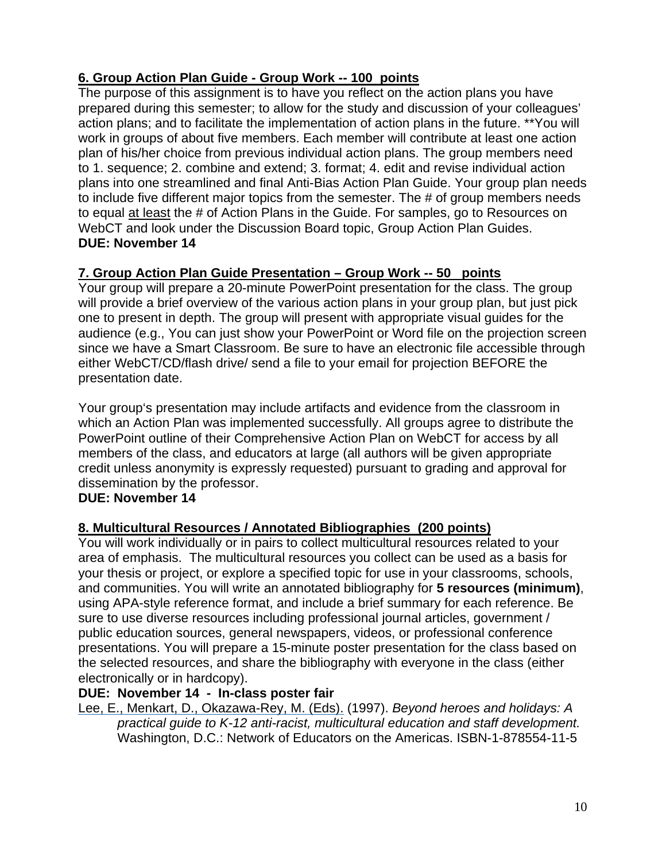# **6. Group Action Plan Guide - Group Work -- 100 points**

The purpose of this assignment is to have you reflect on the action plans you have prepared during this semester; to allow for the study and discussion of your colleagues' action plans; and to facilitate the implementation of action plans in the future. \*\*You will work in groups of about five members. Each member will contribute at least one action plan of his/her choice from previous individual action plans. The group members need to 1. sequence; 2. combine and extend; 3. format; 4. edit and revise individual action plans into one streamlined and final Anti-Bias Action Plan Guide. Your group plan needs to include five different major topics from the semester. The # of group members needs to equal at least the # of Action Plans in the Guide. For samples, go to Resources on WebCT and look under the Discussion Board topic, Group Action Plan Guides. **DUE: November 14** 

# **7. Group Action Plan Guide Presentation – Group Work -- 50 points**

Your group will prepare a 20-minute PowerPoint presentation for the class. The group will provide a brief overview of the various action plans in your group plan, but just pick one to present in depth. The group will present with appropriate visual guides for the audience (e.g., You can just show your PowerPoint or Word file on the projection screen since we have a Smart Classroom. Be sure to have an electronic file accessible through either WebCT/CD/flash drive/ send a file to your email for projection BEFORE the presentation date.

Your group's presentation may include artifacts and evidence from the classroom in which an Action Plan was implemented successfully. All groups agree to distribute the PowerPoint outline of their Comprehensive Action Plan on WebCT for access by all members of the class, and educators at large (all authors will be given appropriate credit unless anonymity is expressly requested) pursuant to grading and approval for dissemination by the professor.

### **DUE: November 14**

### **8. Multicultural Resources / Annotated Bibliographies (200 points)**

You will work individually or in pairs to collect multicultural resources related to your area of emphasis. The multicultural resources you collect can be used as a basis for your thesis or project, or explore a specified topic for use in your classrooms, schools, and communities. You will write an annotated bibliography for **5 resources (minimum)**, using APA-style reference format, and include a brief summary for each reference. Be sure to use diverse resources including professional journal articles, government / public education sources, general newspapers, videos, or professional conference presentations. You will prepare a 15-minute poster presentation for the class based on the selected resources, and share the bibliography with everyone in the class (either electronically or in hardcopy).

#### **DUE: November 14 - In-class poster fair**

Lee, E., Menkart, D., Okazawa-Rey, M. (Eds). (1997). *Beyond heroes and holidays: A practical guide to K-12 anti-racist, multicultural education and staff development.*  Washington, D.C.: Network of Educators on the Americas. ISBN-1-878554-11-5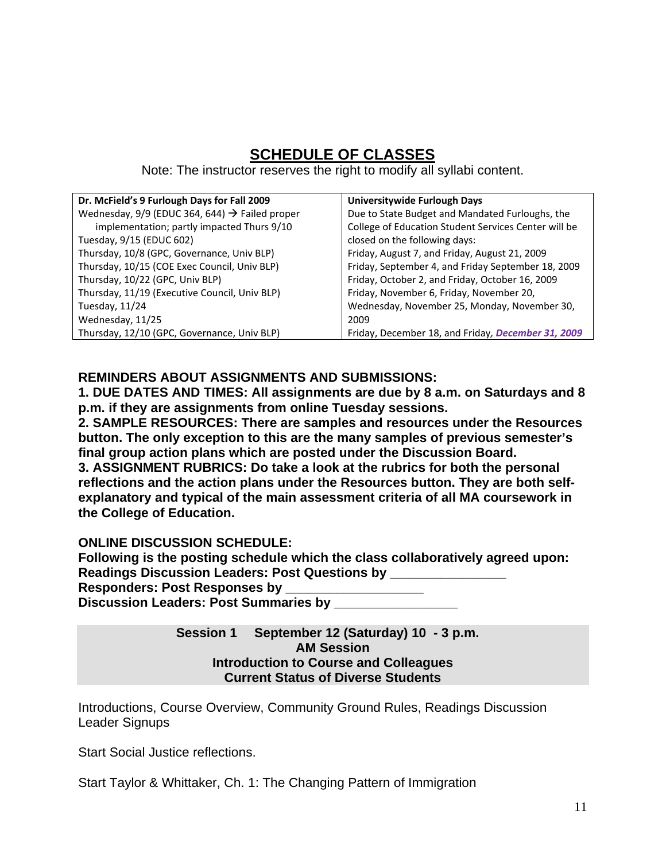# **SCHEDULE OF CLASSES**

Note: The instructor reserves the right to modify all syllabi content.

| Dr. McField's 9 Furlough Days for Fall 2009                | Universitywide Furlough Days                         |
|------------------------------------------------------------|------------------------------------------------------|
| Wednesday, 9/9 (EDUC 364, 644) $\rightarrow$ Failed proper | Due to State Budget and Mandated Furloughs, the      |
| implementation; partly impacted Thurs 9/10                 | College of Education Student Services Center will be |
| Tuesday, 9/15 (EDUC 602)                                   | closed on the following days:                        |
| Thursday, 10/8 (GPC, Governance, Univ BLP)                 | Friday, August 7, and Friday, August 21, 2009        |
| Thursday, 10/15 (COE Exec Council, Univ BLP)               | Friday, September 4, and Friday September 18, 2009   |
| Thursday, 10/22 (GPC, Univ BLP)                            | Friday, October 2, and Friday, October 16, 2009      |
| Thursday, 11/19 (Executive Council, Univ BLP)              | Friday, November 6, Friday, November 20,             |
| Tuesday, 11/24                                             | Wednesday, November 25, Monday, November 30,         |
| Wednesday, 11/25                                           | 2009                                                 |
| Thursday, 12/10 (GPC, Governance, Univ BLP)                | Friday, December 18, and Friday, December 31, 2009   |

### **REMINDERS ABOUT ASSIGNMENTS AND SUBMISSIONS:**

**1. DUE DATES AND TIMES: All assignments are due by 8 a.m. on Saturdays and 8 p.m. if they are assignments from online Tuesday sessions.** 

**2. SAMPLE RESOURCES: There are samples and resources under the Resources button. The only exception to this are the many samples of previous semester's final group action plans which are posted under the Discussion Board. 3. ASSIGNMENT RUBRICS: Do take a look at the rubrics for both the personal reflections and the action plans under the Resources button. They are both selfexplanatory and typical of the main assessment criteria of all MA coursework in the College of Education.** 

### **ONLINE DISCUSSION SCHEDULE:**

**Following is the posting schedule which the class collaboratively agreed upon: Readings Discussion Leaders: Post Questions by Responders: Post Responses by \_\_\_\_\_\_\_\_\_\_\_\_\_\_\_\_\_\_\_** 

**Discussion Leaders: Post Summaries by \_\_\_\_\_\_\_\_\_\_\_\_\_\_\_\_\_** 

**Session 1 September 12 (Saturday) 10 - 3 p.m. AM Session Introduction to Course and Colleagues Current Status of Diverse Students** 

Introductions, Course Overview, Community Ground Rules, Readings Discussion Leader Signups

Start Social Justice reflections.

Start Taylor & Whittaker, Ch. 1: The Changing Pattern of Immigration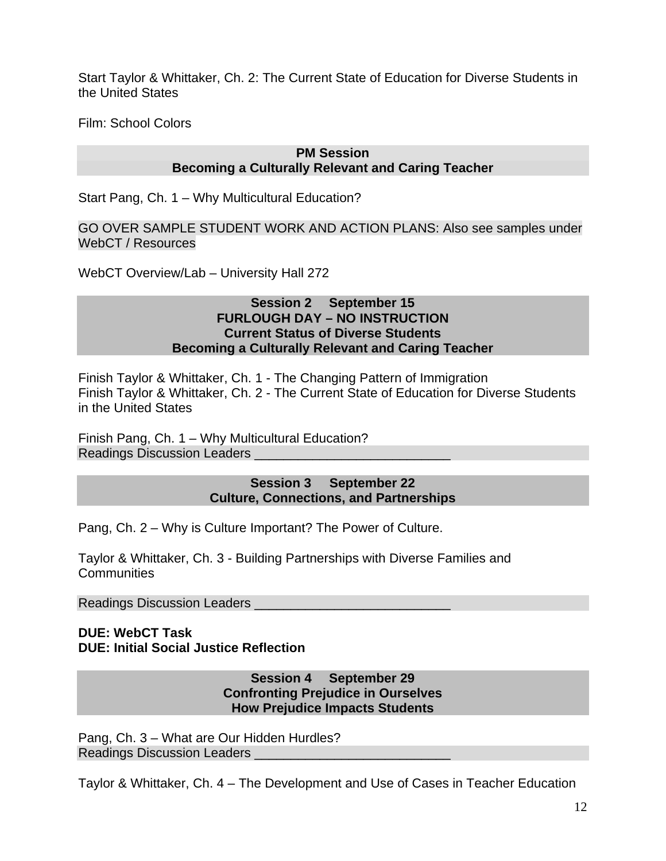Start Taylor & Whittaker, Ch. 2: The Current State of Education for Diverse Students in the United States

Film: School Colors

### **PM Session Becoming a Culturally Relevant and Caring Teacher**

Start Pang, Ch. 1 – Why Multicultural Education?

GO OVER SAMPLE STUDENT WORK AND ACTION PLANS: Also see samples under WebCT / Resources

WebCT Overview/Lab – University Hall 272

#### **Session 2 September 15 FURLOUGH DAY – NO INSTRUCTION Current Status of Diverse Students Becoming a Culturally Relevant and Caring Teacher**

Finish Taylor & Whittaker, Ch. 1 - The Changing Pattern of Immigration Finish Taylor & Whittaker, Ch. 2 - The Current State of Education for Diverse Students in the United States

Finish Pang, Ch. 1 – Why Multicultural Education? Readings Discussion Leaders

#### **Session 3 September 22 Culture, Connections, and Partnerships**

Pang, Ch. 2 – Why is Culture Important? The Power of Culture.

Taylor & Whittaker, Ch. 3 - Building Partnerships with Diverse Families and **Communities** 

Readings Discussion Leaders \_\_\_\_\_\_\_\_\_\_\_\_\_\_\_\_\_\_\_\_\_\_\_\_\_\_\_

#### **DUE: WebCT Task DUE: Initial Social Justice Reflection**

#### **Session 4 September 29 Confronting Prejudice in Ourselves How Prejudice Impacts Students**

Pang, Ch. 3 – What are Our Hidden Hurdles? Readings Discussion Leaders \_\_\_\_\_\_\_\_\_\_\_\_\_\_\_\_\_\_\_\_\_\_\_\_\_\_\_

Taylor & Whittaker, Ch. 4 – The Development and Use of Cases in Teacher Education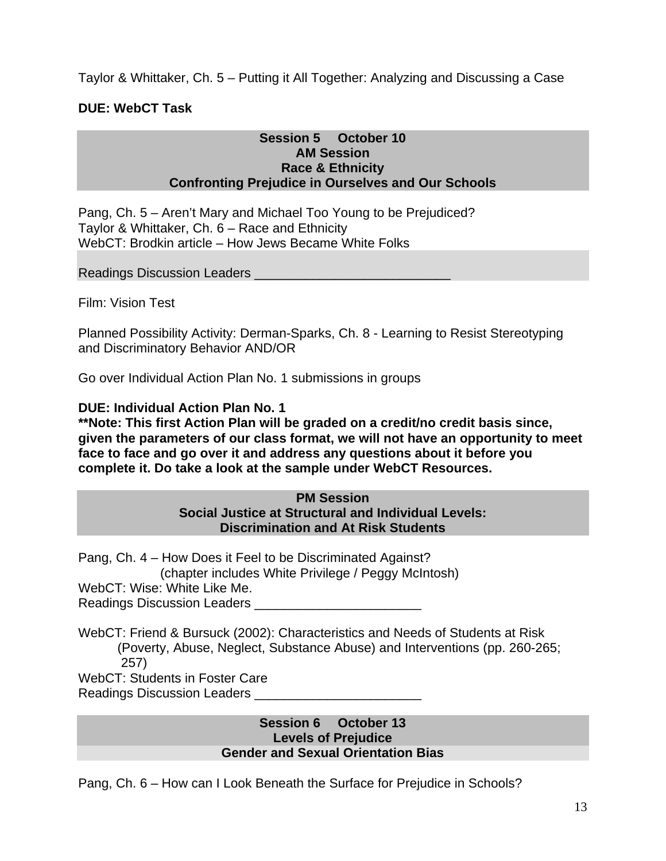Taylor & Whittaker, Ch. 5 – Putting it All Together: Analyzing and Discussing a Case

### **DUE: WebCT Task**

#### **Session 5 October 10 AM Session Race & Ethnicity Confronting Prejudice in Ourselves and Our Schools**

Pang, Ch. 5 – Aren't Mary and Michael Too Young to be Prejudiced? Taylor & Whittaker, Ch. 6 – Race and Ethnicity WebCT: Brodkin article – How Jews Became White Folks

Readings Discussion Leaders

Film: Vision Test

Planned Possibility Activity: Derman-Sparks, Ch. 8 - Learning to Resist Stereotyping and Discriminatory Behavior AND/OR

Go over Individual Action Plan No. 1 submissions in groups

**DUE: Individual Action Plan No. 1** 

**\*\*Note: This first Action Plan will be graded on a credit/no credit basis since, given the parameters of our class format, we will not have an opportunity to meet face to face and go over it and address any questions about it before you complete it. Do take a look at the sample under WebCT Resources.** 

#### **PM Session Social Justice at Structural and Individual Levels: Discrimination and At Risk Students**

Pang, Ch. 4 – How Does it Feel to be Discriminated Against? (chapter includes White Privilege / Peggy McIntosh) WebCT: Wise: White Like Me. Readings Discussion Leaders \_\_\_\_\_\_\_\_\_\_\_\_\_\_\_\_\_\_\_\_\_\_\_

WebCT: Friend & Bursuck (2002): Characteristics and Needs of Students at Risk (Poverty, Abuse, Neglect, Substance Abuse) and Interventions (pp. 260-265; 257)

WebCT: Students in Foster Care

Readings Discussion Leaders \_\_\_\_\_\_\_\_\_\_\_\_\_\_\_\_\_\_\_\_\_\_\_

#### **Session 6 October 13 Levels of Prejudice Gender and Sexual Orientation Bias**

Pang, Ch. 6 – How can I Look Beneath the Surface for Prejudice in Schools?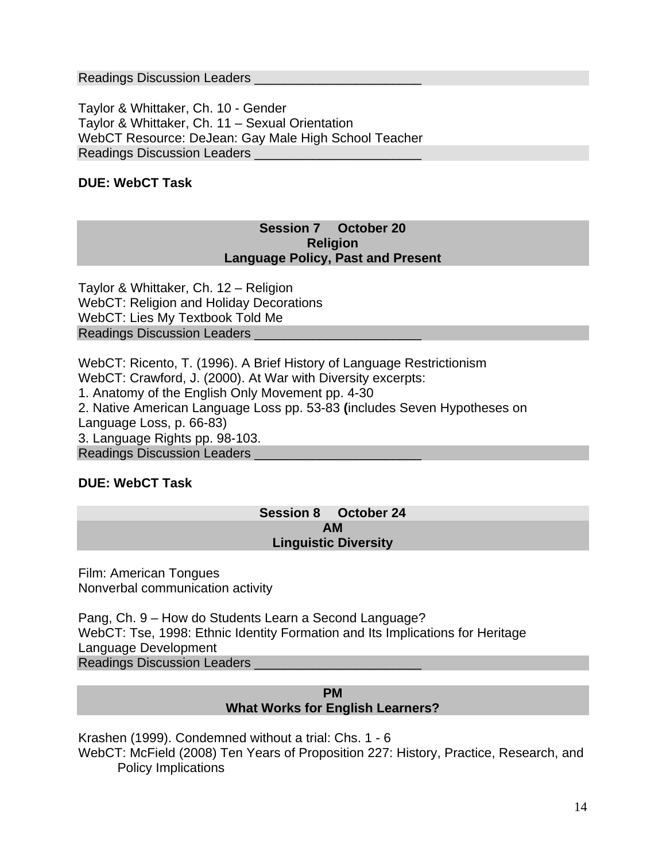Readings Discussion Leaders \_\_\_\_\_\_\_\_\_\_\_\_\_\_\_\_\_\_\_\_\_\_\_

Taylor & Whittaker, Ch. 10 - Gender Taylor & Whittaker, Ch. 11 – Sexual Orientation WebCT Resource: DeJean: Gay Male High School Teacher Readings Discussion Leaders \_\_\_\_\_\_\_\_\_\_\_\_\_\_\_\_\_\_\_\_\_\_\_

### **DUE: WebCT Task**

#### **Session 7 October 20 Religion Language Policy, Past and Present**

Taylor & Whittaker, Ch. 12 – Religion WebCT: Religion and Holiday Decorations WebCT: Lies My Textbook Told Me Readings Discussion Leaders \_\_\_\_\_\_\_\_\_\_\_\_\_\_\_\_\_\_\_\_\_\_\_

WebCT: Ricento, T. (1996). A Brief History of Language Restrictionism WebCT: Crawford, J. (2000). At War with Diversity excerpts: 1. Anatomy of the English Only Movement pp. 4-30 2. Native American Language Loss pp. 53-83 **(**includes Seven Hypotheses on Language Loss, p. 66-83) 3. Language Rights pp. 98-103. Readings Discussion Leaders \_\_\_\_\_\_\_\_\_\_\_\_\_\_\_\_\_\_\_\_\_\_\_

#### **DUE: WebCT Task**

#### **Session 8 October 24 AM Linguistic Diversity**

Film: American Tongues Nonverbal communication activity

Pang, Ch. 9 – How do Students Learn a Second Language? WebCT: Tse, 1998: Ethnic Identity Formation and Its Implications for Heritage Language Development Readings Discussion Leaders \_\_\_\_\_\_\_\_\_\_\_\_\_\_\_\_\_\_\_\_\_\_\_

#### **PM What Works for English Learners?**

Krashen (1999). Condemned without a trial: Chs. 1 - 6 WebCT: McField (2008) Ten Years of Proposition 227: History, Practice, Research, and Policy Implications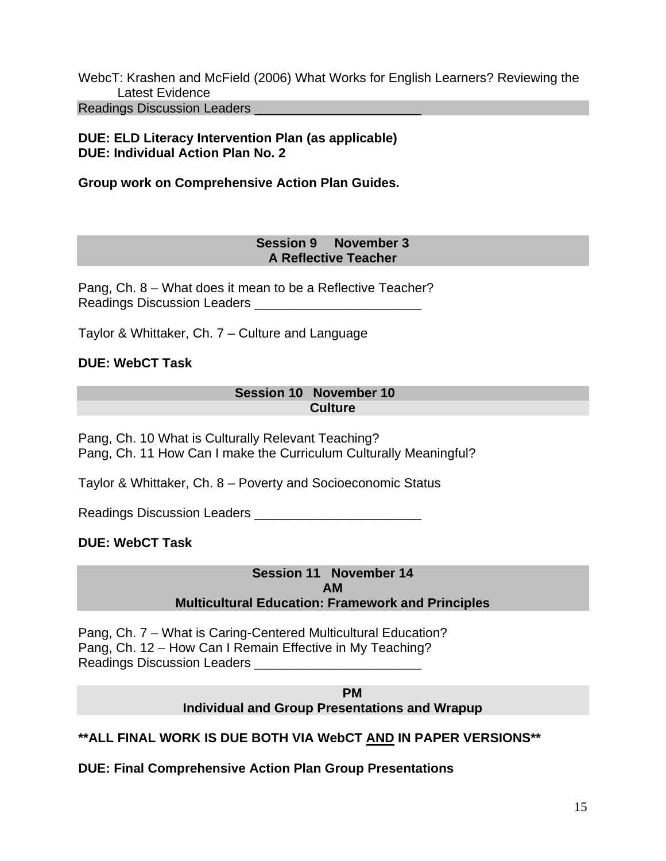WebcT: Krashen and McField (2006) What Works for English Learners? Reviewing the Latest Evidence Readings Discussion Leaders **Exercise 20** 

### **DUE: ELD Literacy Intervention Plan (as applicable) DUE: Individual Action Plan No. 2**

**Group work on Comprehensive Action Plan Guides.** 

#### **Session 9 November 3 A Reflective Teacher**

Pang, Ch. 8 – What does it mean to be a Reflective Teacher? Readings Discussion Leaders **Example 20** 

Taylor & Whittaker, Ch. 7 – Culture and Language

### **DUE: WebCT Task**

#### **Session 10 November 10 Culture**

Pang, Ch. 10 What is Culturally Relevant Teaching? Pang, Ch. 11 How Can I make the Curriculum Culturally Meaningful?

Taylor & Whittaker, Ch. 8 – Poverty and Socioeconomic Status

Readings Discussion Leaders \_\_\_\_\_\_\_\_\_\_\_\_\_\_\_\_\_\_\_\_\_\_\_

### **DUE: WebCT Task**

### **Session 11 November 14 AM Multicultural Education: Framework and Principles**

Pang, Ch. 7 – What is Caring-Centered Multicultural Education? Pang, Ch. 12 – How Can I Remain Effective in My Teaching? Readings Discussion Leaders \_\_\_

 **PM** 

**Individual and Group Presentations and Wrapup** 

### **\*\*ALL FINAL WORK IS DUE BOTH VIA WebCT AND IN PAPER VERSIONS\*\***

**DUE: Final Comprehensive Action Plan Group Presentations**